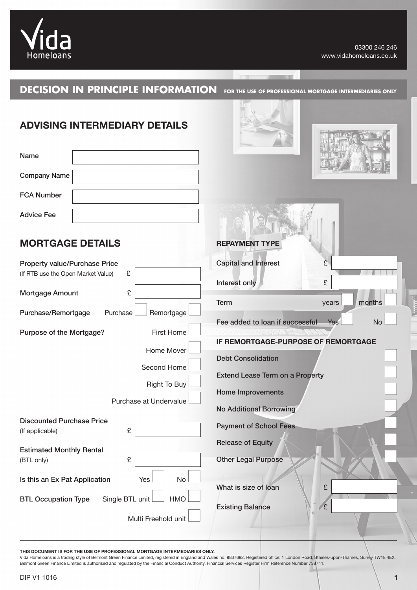

### **DECISION IN PRINCIPLE INFORMATION FOR THE USE OF PROFESSIONAL MORTGAGE INTERMEDIARIES ONLY**

| <b>ADVISING INTERMEDIARY DETAILS</b>                        |                                                                       |
|-------------------------------------------------------------|-----------------------------------------------------------------------|
| Name                                                        |                                                                       |
| <b>Company Name</b>                                         |                                                                       |
| <b>FCA Number</b>                                           |                                                                       |
| <b>Advice Fee</b>                                           |                                                                       |
| <b>MORTGAGE DETAILS</b>                                     | <b>REPAYMENT TYPE</b>                                                 |
| <b>Property value/Purchase Price</b>                        | <b>Capital and Interest</b><br>£                                      |
| £<br>(If RTB use the Open Market Value)                     | £<br>Interest only                                                    |
| £<br>Mortgage Amount                                        | <b>Term</b><br>months<br>years                                        |
| Purchase<br>Remortgage<br>Purchase/Remortgage               | <b>No</b><br>Fee added to loan if successful<br><b>Yes</b>            |
| <b>First Home</b><br>Purpose of the Mortgage?               | e e e e e e e e e e e e de 177<br>IF REMORTGAGE-PURPOSE OF REMORTGAGE |
| Home Mover                                                  | <b>Debt Consolidation</b>                                             |
| Second Home                                                 | <b>Extend Lease Term on a Property</b>                                |
| <b>Right To Buy</b>                                         | <b>Home Improvements</b>                                              |
| Purchase at Undervalue                                      | <b>No Additional Borrowing</b>                                        |
| <b>Discounted Purchase Price</b>                            |                                                                       |
| £<br>(If applicable)                                        | <b>Payment of School Fees</b>                                         |
| <b>Estimated Monthly Rental</b>                             | <b>Release of Equity</b>                                              |
| £<br>(BTL only)                                             | <b>Other Legal Purpose</b>                                            |
| No<br>Is this an Ex Pat Application<br>Yes                  | What is size of loan<br>£                                             |
| <b>HMO</b><br><b>BTL Occupation Type</b><br>Single BTL unit | <b>Existing Balance</b><br>$\mathbf{E}$                               |
| Multi Freehold unit                                         |                                                                       |

**THIS DOCUMENT IS FOR THE USE OF PROFESSIONAL MORTGAGE INTERMEDIARIES ONLY.**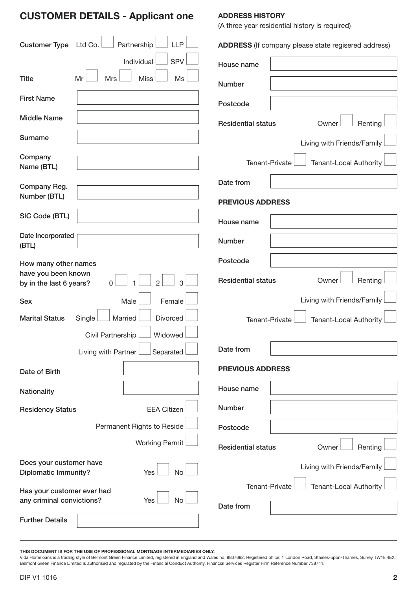# **CustomeR DetaILs - applicant one**

#### **aDDRess HIstoRy**

(A three year residential history is required)

| <b>LLP</b><br>Partnership<br><b>Customer Type</b><br>Ltd Co.         | <b>ADDRESS</b> (If company please state regisered address) |
|----------------------------------------------------------------------|------------------------------------------------------------|
| <b>SPV</b><br>Individual                                             | House name                                                 |
| <b>Miss</b><br><b>Ms</b><br><b>Title</b><br>Mr<br><b>Mrs</b>         | <b>Number</b>                                              |
| <b>First Name</b>                                                    | Postcode                                                   |
| <b>Middle Name</b>                                                   | <b>Residential status</b><br>Owner<br>Renting              |
| <b>Surname</b>                                                       | Living with Friends/Family                                 |
| Company<br>Name (BTL)                                                | Tenant-Private<br><b>Tenant-Local Authority</b>            |
| Company Reg.                                                         | Date from                                                  |
| Number (BTL)                                                         | <b>PREVIOUS ADDRESS</b>                                    |
| SIC Code (BTL)                                                       | House name                                                 |
| Date Incorporated<br>(BTL)                                           | <b>Number</b>                                              |
| How many other names                                                 | Postcode                                                   |
| have you been known<br>3<br>by in the last 6 years?<br>0             | <b>Residential status</b><br>Renting<br>Owner              |
| Male<br>Female<br><b>Sex</b>                                         | Living with Friends/Family                                 |
| Married<br>Divorced<br><b>Marital Status</b><br>Single               | <b>Tenant-Local Authority</b><br>Tenant-Private            |
| Widowed<br>Civil Partnership                                         |                                                            |
| Living with Partner<br>Separated                                     | Date from                                                  |
| Date of Birth                                                        | <b>PREVIOUS ADDRESS</b>                                    |
| <b>Nationality</b>                                                   | House name                                                 |
| <b>EEA Citizen</b><br><b>Residency Status</b>                        | Number                                                     |
| Permanent Rights to Reside                                           | Postcode                                                   |
| <b>Working Permit</b>                                                | <b>Residential status</b><br>Renting<br>Owner              |
| Does your customer have<br><b>Diplomatic Immunity?</b><br>Yes<br>No  | Living with Friends/Family                                 |
| Has your customer ever had<br>any criminal convictions?<br>Yes<br>No | Tenant-Private<br>Tenant-Local Authority<br>Date from      |
| <b>Further Details</b>                                               |                                                            |

**THIS DOCUMENT IS FOR THE USE OF PROFESSIONAL MORTGAGE INTERMEDIARIES ONLY.**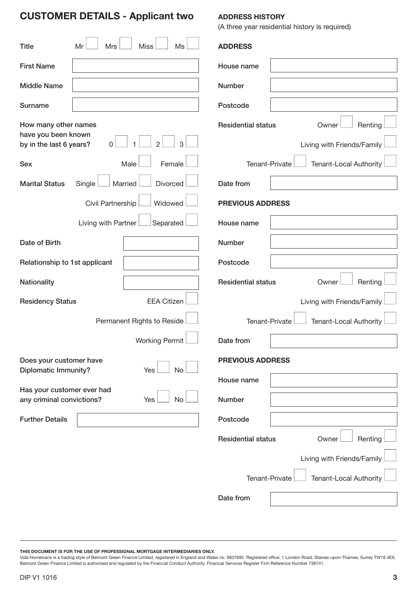# **CustomeR DetaILs - applicant two**

#### **aDDRess HIstoRy**

(A three year residential history is required)

| <b>Title</b><br><b>Miss</b><br>Ms<br>Mr<br>Mrs                                               | <b>ADDRESS</b>                                                              |
|----------------------------------------------------------------------------------------------|-----------------------------------------------------------------------------|
| <b>First Name</b>                                                                            | House name                                                                  |
| <b>Middle Name</b>                                                                           | <b>Number</b>                                                               |
| <b>Surname</b>                                                                               | Postcode                                                                    |
| How many other names<br>have you been known<br>by in the last 6 years?<br>2<br>3<br>$\Omega$ | <b>Residential status</b><br>Renting<br>Owner<br>Living with Friends/Family |
| Female<br>Male<br><b>Sex</b>                                                                 | Tenant-Private<br><b>Tenant-Local Authority</b>                             |
| Divorced<br><b>Marital Status</b><br>Single<br>Married                                       | Date from                                                                   |
| Civil Partnership<br>Widowed                                                                 | <b>PREVIOUS ADDRESS</b>                                                     |
| Living with Partner<br>Separated                                                             | House name                                                                  |
| Date of Birth                                                                                | <b>Number</b>                                                               |
| Relationship to 1st applicant                                                                | Postcode                                                                    |
| Nationality                                                                                  | <b>Residential status</b><br>Renting<br>Owner                               |
| <b>EEA Citizen</b><br><b>Residency Status</b>                                                | Living with Friends/Family                                                  |
| Permanent Rights to Reside                                                                   | Tenant-Private<br><b>Tenant-Local Authority</b>                             |
| <b>Working Permit</b>                                                                        | Date from                                                                   |
| Does your customer have<br><b>Diplomatic Immunity?</b><br>Yes<br>No                          | <b>PREVIOUS ADDRESS</b><br>House name                                       |
| Has your customer ever had<br>any criminal convictions?<br>No<br>Yes                         | <b>Number</b>                                                               |
| <b>Further Details</b>                                                                       | Postcode                                                                    |
|                                                                                              | <b>Residential status</b><br>Renting<br>Owner                               |
|                                                                                              | Living with Friends/Family                                                  |
|                                                                                              | Tenant-Private<br>Tenant-Local Authority                                    |
|                                                                                              | Date from                                                                   |

**THIS DOCUMENT IS FOR THE USE OF PROFESSIONAL MORTGAGE INTERMEDIARIES ONLY.**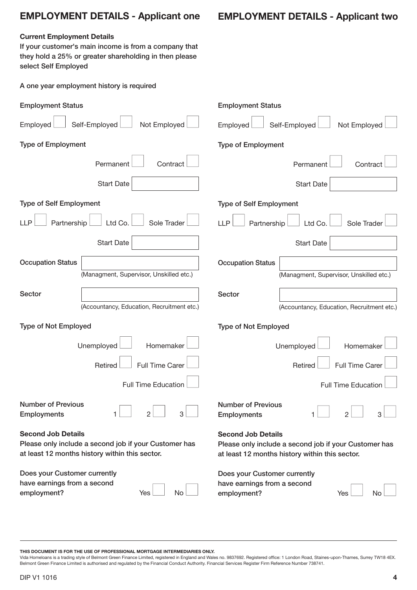# **empLoyment DetaILs - applicant two**

### **Current Employment Details**

If your customer's main income is from a company that they hold a 25% or greater shareholding in then please select Self Employed

A one year employment history is required

| <b>Employment Status</b>                                                                                                             | <b>Employment Status</b>                                                                                                             |  |  |
|--------------------------------------------------------------------------------------------------------------------------------------|--------------------------------------------------------------------------------------------------------------------------------------|--|--|
| Self-Employed<br>Not Employed<br>Employed                                                                                            | Self-Employed<br>Not Employed<br>Employed                                                                                            |  |  |
| <b>Type of Employment</b>                                                                                                            | <b>Type of Employment</b>                                                                                                            |  |  |
| Permanent<br>Contract                                                                                                                | Permanent<br>Contract                                                                                                                |  |  |
| <b>Start Date</b>                                                                                                                    | <b>Start Date</b>                                                                                                                    |  |  |
| <b>Type of Self Employment</b>                                                                                                       | <b>Type of Self Employment</b>                                                                                                       |  |  |
| <b>LLP</b><br>Partnership<br>Ltd Co.<br>Sole Trader                                                                                  | <b>LLP</b><br>Partnership<br>Ltd Co.<br>Sole Trader                                                                                  |  |  |
| <b>Start Date</b>                                                                                                                    | <b>Start Date</b>                                                                                                                    |  |  |
| <b>Occupation Status</b>                                                                                                             | <b>Occupation Status</b>                                                                                                             |  |  |
| (Managment, Supervisor, Unskilled etc.)                                                                                              | (Managment, Supervisor, Unskilled etc.)                                                                                              |  |  |
| Sector                                                                                                                               | Sector                                                                                                                               |  |  |
| (Accountancy, Education, Recruitment etc.)                                                                                           | (Accountancy, Education, Recruitment etc.)                                                                                           |  |  |
| <b>Type of Not Employed</b>                                                                                                          | Type of Not Employed                                                                                                                 |  |  |
| Homemaker<br>Unemployed                                                                                                              | Unemployed<br>Homemaker                                                                                                              |  |  |
| <b>Full Time Carer</b><br>Retired                                                                                                    | Retired<br><b>Full Time Carer</b>                                                                                                    |  |  |
| <b>Full Time Education</b>                                                                                                           | <b>Full Time Education</b>                                                                                                           |  |  |
| <b>Number of Previous</b><br>$2 \Box$<br>$3 \Box$<br>$1 \Box$<br><b>Employments</b>                                                  | <b>Number of Previous</b><br>2 <sub>2</sub><br>$3 \Box$<br>$1 \Box$<br><b>Employments</b>                                            |  |  |
| <b>Second Job Details</b><br>Please only include a second job if your Customer has<br>at least 12 months history within this sector. | <b>Second Job Details</b><br>Please only include a second job if your Customer has<br>at least 12 months history within this sector. |  |  |
| Does your Customer currently<br>have earnings from a second<br>employment?<br>Yes<br>No                                              | Does your Customer currently<br>have earnings from a second<br>employment?<br>Yes<br>No                                              |  |  |

**THIS DOCUMENT IS FOR THE USE OF PROFESSIONAL MORTGAGE INTERMEDIARIES ONLY.**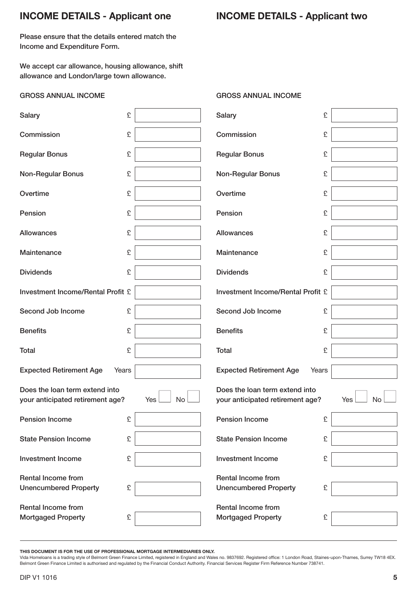# **InCome DetaILs - applicant one**

**InCome DetaILs - applicant two**

Please ensure that the details entered match the Income and Expenditure Form.

We accept car allowance, housing allowance, shift allowance and London/large town allowance.

| <b>GROSS ANNUAL INCOME</b>                                         |       |                  | <b>GROSS ANNUAL INCOME</b>                                         |   |           |
|--------------------------------------------------------------------|-------|------------------|--------------------------------------------------------------------|---|-----------|
| <b>Salary</b>                                                      | £     |                  | <b>Salary</b>                                                      | £ |           |
| Commission                                                         | £     |                  | Commission                                                         | £ |           |
| <b>Regular Bonus</b>                                               | £     |                  | <b>Regular Bonus</b>                                               | £ |           |
| Non-Regular Bonus                                                  | £     |                  | Non-Regular Bonus                                                  | £ |           |
| Overtime                                                           | £     |                  | Overtime                                                           | £ |           |
| Pension                                                            | £     |                  | Pension                                                            | £ |           |
| Allowances                                                         | £     |                  | Allowances                                                         | £ |           |
| Maintenance                                                        | £     |                  | Maintenance                                                        | £ |           |
| <b>Dividends</b>                                                   | £     |                  | <b>Dividends</b>                                                   | £ |           |
| Investment Income/Rental Profit £                                  |       |                  | <b>Investment Income/Rental Profit £</b>                           |   |           |
| Second Job Income                                                  | £     |                  | Second Job Income                                                  | £ |           |
| <b>Benefits</b>                                                    | £     |                  | <b>Benefits</b>                                                    | £ |           |
| <b>Total</b>                                                       | £     |                  | <b>Total</b>                                                       | £ |           |
| <b>Expected Retirement Age</b>                                     | Years |                  | <b>Expected Retirement Age</b><br>Years                            |   |           |
| Does the loan term extend into<br>your anticipated retirement age? |       | <b>No</b><br>Yes | Does the loan term extend into<br>your anticipated retirement age? |   | No<br>Yes |
| <b>Pension Income</b>                                              | £     |                  | <b>Pension Income</b>                                              | £ |           |
| <b>State Pension Income</b>                                        | £     |                  | <b>State Pension Income</b>                                        | £ |           |
| <b>Investment Income</b>                                           | £     |                  | <b>Investment Income</b>                                           | £ |           |
| <b>Rental Income from</b><br><b>Unencumbered Property</b>          | £     |                  | <b>Rental Income from</b><br><b>Unencumbered Property</b>          | £ |           |
| <b>Rental Income from</b><br><b>Mortgaged Property</b>             | £     |                  | <b>Rental Income from</b><br><b>Mortgaged Property</b>             | £ |           |

**THIS DOCUMENT IS FOR THE USE OF PROFESSIONAL MORTGAGE INTERMEDIARIES ONLY.**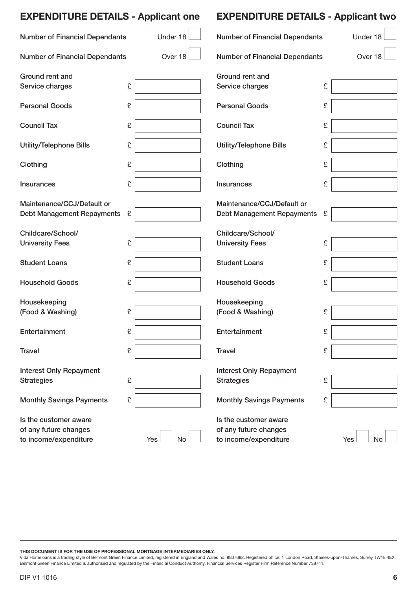| <b>EXPENDITURE DETAILS - Applicant one</b>                              |   |           | <b>EXPENDITURE DETAILS - Applicant two</b>                              |   |           |  |
|-------------------------------------------------------------------------|---|-----------|-------------------------------------------------------------------------|---|-----------|--|
| <b>Number of Financial Dependants</b>                                   |   | Under 18  | <b>Number of Financial Dependants</b>                                   |   | Under 18  |  |
| <b>Number of Financial Dependants</b>                                   |   | Over 18   | <b>Number of Financial Dependants</b>                                   |   | Over 18   |  |
| Ground rent and<br>Service charges                                      | £ |           | Ground rent and<br>Service charges                                      | £ |           |  |
| <b>Personal Goods</b>                                                   | £ |           | <b>Personal Goods</b>                                                   | £ |           |  |
| <b>Council Tax</b>                                                      | £ |           | <b>Council Tax</b>                                                      | £ |           |  |
| <b>Utility/Telephone Bills</b>                                          | £ |           | <b>Utility/Telephone Bills</b>                                          | £ |           |  |
| Clothing                                                                | £ |           | Clothing                                                                | £ |           |  |
| <b>Insurances</b>                                                       | £ |           | <b>Insurances</b>                                                       | £ |           |  |
| Maintenance/CCJ/Default or<br><b>Debt Management Repayments</b>         | £ |           | Maintenance/CCJ/Default or<br><b>Debt Management Repayments</b>         | £ |           |  |
| Childcare/School/                                                       |   |           | Childcare/School/                                                       |   |           |  |
| <b>University Fees</b>                                                  | £ |           | <b>University Fees</b>                                                  | £ |           |  |
| <b>Student Loans</b>                                                    | £ |           | <b>Student Loans</b>                                                    | £ |           |  |
| <b>Household Goods</b>                                                  | £ |           | <b>Household Goods</b>                                                  | £ |           |  |
| Housekeeping                                                            |   |           | Housekeeping                                                            |   |           |  |
| (Food & Washing)                                                        | £ |           | (Food & Washing)                                                        | £ |           |  |
| Entertainment                                                           | £ |           | Entertainment                                                           | £ |           |  |
| <b>Travel</b>                                                           | £ |           | <b>Travel</b>                                                           | £ |           |  |
| <b>Interest Only Repayment</b>                                          |   |           | <b>Interest Only Repayment</b>                                          |   |           |  |
| <b>Strategies</b>                                                       | £ |           | <b>Strategies</b>                                                       | £ |           |  |
| <b>Monthly Savings Payments</b>                                         | £ |           | <b>Monthly Savings Payments</b>                                         | £ |           |  |
| Is the customer aware<br>of any future changes<br>to income/expenditure |   | No<br>Yes | Is the customer aware<br>of any future changes<br>to income/expenditure |   | Yes<br>No |  |

**THIS DOCUMENT IS FOR THE USE OF PROFESSIONAL MORTGAGE INTERMEDIARIES ONLY.**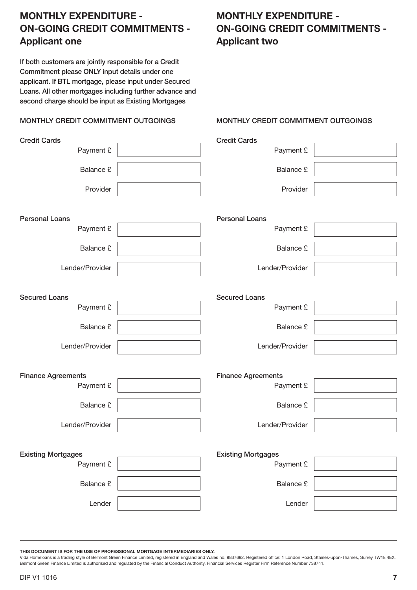## **montHLy eXpenDItuRe on-goIng CReDIt CommItments applicant one**

If both customers are jointly responsible for a Credit Commitment please ONLy input details under one applicant. If BTL mortgage, please input under Secured Loans. All other mortgages including further advance and second charge should be input as Existing Mortgages

#### MONTHLy CREDIT COMMITMENT OuTGOINGS

### Credit Cards Payment £ Balance £ Provider Personal Loans Payment £ Balance £ Lender/Provider Secured Loans Payment £ Balance £ Lender/Provider Finance Agreements Payment £ Balance £ Lender/Provider Existing Mortgages Payment £ Balance £ Lender Credit Cards Payment £ Balance £ Provider Personal Loans Payment £ Balance £ Lender/Provider Secured Loans Payment £ Balance £ Lender/Provider Finance Agreements Payment £ Balance £ Lender/Provider Existing Mortgages Payment £ Balance £ Lender

#### **THIS DOCUMENT IS FOR THE USE OF PROFESSIONAL MORTGAGE INTERMEDIARIES ONLY.**

Vida Homeloans is a trading style of Belmont Green Finance Limited, registered in England and Wales no. 9837692. Registered office: 1 London Road, Staines-upon-Thames, Surrey TW18 4EX. Belmont Green Finance Limited is authorised and regulated by the Financial Conduct Authority. Financial Services Register Firm Reference Number 738741.

### **montHLy eXpenDItuRe on-goIng CReDIt CommItments applicant two**

### MONTHLy CREDIT COMMITMENT OuTGOINGS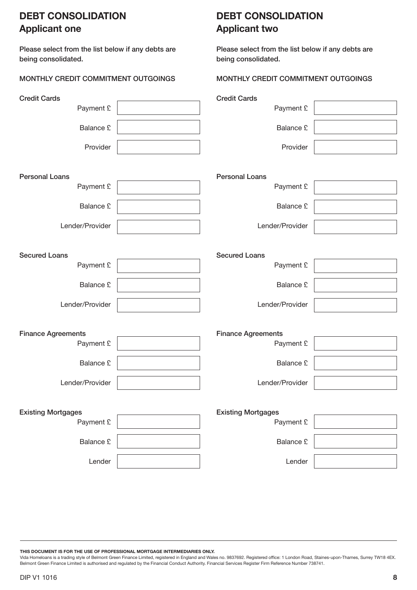### **DeBt ConsoLIDatIon applicant one**

Please select from the list below if any debts are being consolidated.

### MONTHLy CREDIT COMMITMENT OuTGOINGS

### **DeBt ConsoLIDatIon applicant two**

Please select from the list below if any debts are being consolidated.

### MONTHLy CREDIT COMMITMENT OuTGOINGS

| <b>Credit Cards</b>       | <b>Credit Cards</b>       |  |
|---------------------------|---------------------------|--|
| Payment £                 | Payment £                 |  |
|                           |                           |  |
| <b>Balance £</b>          | <b>Balance £</b>          |  |
|                           |                           |  |
| Provider                  | Provider                  |  |
|                           |                           |  |
|                           |                           |  |
| <b>Personal Loans</b>     | <b>Personal Loans</b>     |  |
| Payment £                 | Payment £                 |  |
|                           |                           |  |
| <b>Balance £</b>          | <b>Balance £</b>          |  |
|                           |                           |  |
|                           |                           |  |
| Lender/Provider           | Lender/Provider           |  |
|                           |                           |  |
|                           |                           |  |
| <b>Secured Loans</b>      | <b>Secured Loans</b>      |  |
| Payment £                 | Payment £                 |  |
|                           |                           |  |
| <b>Balance £</b>          | <b>Balance £</b>          |  |
|                           |                           |  |
| Lender/Provider           | Lender/Provider           |  |
|                           |                           |  |
|                           |                           |  |
| <b>Finance Agreements</b> | <b>Finance Agreements</b> |  |
| Payment £                 | Payment £                 |  |
|                           |                           |  |
| Balance £                 | <b>Balance £</b>          |  |
|                           |                           |  |
| Lender/Provider           | Lender/Provider           |  |
|                           |                           |  |
|                           |                           |  |
| <b>Existing Mortgages</b> | <b>Existing Mortgages</b> |  |
| Payment £                 | Payment £                 |  |
|                           |                           |  |
| Balance £                 | Balance £                 |  |
|                           |                           |  |
|                           |                           |  |
| Lender                    | Lender                    |  |

**THIS DOCUMENT IS FOR THE USE OF PROFESSIONAL MORTGAGE INTERMEDIARIES ONLY.**